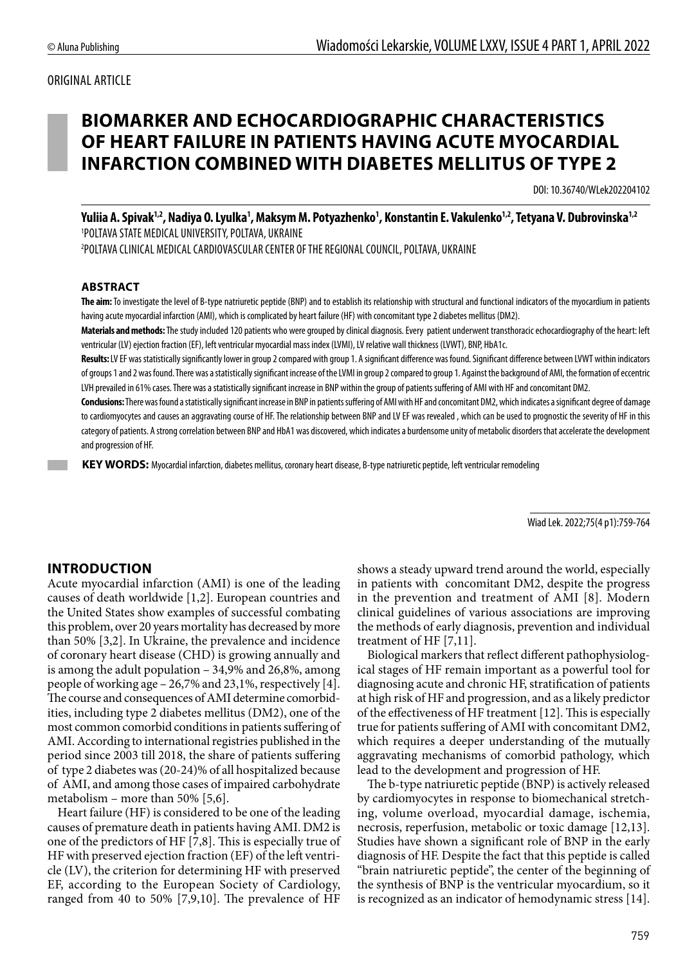#### ORIGINAL ARTICLE

# **BIOMARKER AND ECHOCARDIOGRAPHIC CHARACTERISTICS OF HEART FAILURE IN PATIENTS HAVING ACUTE MYOCARDIAL INFARCTION COMBINED WITH DIABETES MELLITUS OF TYPE 2**

DOI: 10.36740/WLek202204102

Yuliia A. Spivak<sup>1,2</sup>, Nadiya O. Lyulka<sup>1</sup>, Maksym M. Potyazhenko<sup>1</sup>, Konstantin E. Vakulenko<sup>1,2</sup>, Tetyana V. Dubrovinska<sup>1,2</sup> 1 POLTAVA STATE MEDICAL UNIVERSITY, POLTAVA, UKRAINE 2 POLTAVA CLINICAL MEDICAL CARDIOVASCULAR CENTER OF THE REGIONAL COUNCIL, POLTAVA, UKRAINE

#### **ABSTRACT**

**The aim:** To investigate the level of B-type natriuretic peptide (BNP) and to establish its relationship with structural and functional indicators of the myocardium in patients having acute myocardial infarction (AMI), which is complicated by heart failure (HF) with concomitant type 2 diabetes mellitus (DM2).

**Materials and methods:** The study included 120 patients who were grouped by clinical diagnosis. Every patient underwent transthoracic echocardiography of the heart: left ventricular (LV) ejection fraction (EF), left ventricular myocardial mass index (LVMI), LV relative wall thickness (LVWT), BNP, HbA1c.

Results: LV EF was statistically significantly lower in group 2 compared with group 1. A significant difference was found. Significant difference between LVWT within indicators of groups 1 and 2 was found. There was a statistically significant increase of the LVMI in group 2 compared to group 1. Against the background of AMI, the formation of eccentric LVH prevailed in 61% cases. There was a statistically significant increase in BNP within the group of patients suffering of AMI with HF and concomitant DM2.

**Conclusions:** There was found a statistically significant increase in BNP in patients suffering of AMI with HF and concomitant DM2, which indicates a significant degree of damage to cardiomyocytes and causes an aggravating course of HF. The relationship between BNP and LV EF was revealed , which can be used to prognostic the severity of HF in this category of patients. A strong correlation between BNP and HbA1 was discovered, which indicates a burdensome unity of metabolic disorders that accelerate the development and progression of HF.

 **KEY WORDS:** Myocardial infarction, diabetes mellitus, coronary heart disease, B-type natriuretic peptide, left ventricular remodeling

Wiad Lek. 2022;75(4 p1):759-764

### **INTRODUCTION**

Acute myocardial infarction (AMI) is one of the leading causes of death worldwide [1,2]. European countries and the United States show examples of successful combating this problem, over 20 years mortality has decreased by more than 50% [3,2]. In Ukraine, the prevalence and incidence of coronary heart disease (CHD) is growing annually and is among the adult population – 34,9% and 26,8%, among people of working age – 26,7% and 23,1%, respectively [4]. The course and consequences of AMI determine comorbidities, including type 2 diabetes mellitus (DM2), one of the most common comorbid conditions in patients suffering of AMI. According to international registries published in the period since 2003 till 2018, the share of patients suffering of type 2 diabetes was (20-24)% of all hospitalized because of AMI, and among those cases of impaired carbohydrate metabolism – more than 50% [5,6].

Heart failure (HF) is considered to be one of the leading causes of premature death in patients having AMI. DM2 is one of the predictors of HF [7,8]. This is especially true of HF with preserved ejection fraction (EF) of the left ventricle (LV), the criterion for determining HF with preserved EF, according to the European Society of Cardiology, ranged from 40 to 50% [7,9,10]. The prevalence of HF shows a steady upward trend around the world, especially in patients with concomitant DM2, despite the progress in the prevention and treatment of AMI [8]. Modern clinical guidelines of various associations are improving the methods of early diagnosis, prevention and individual treatment of HF [7,11].

Biological markers that reflect different pathophysiological stages of HF remain important as a powerful tool for diagnosing acute and chronic HF, stratification of patients at high risk of HF and progression, and as a likely predictor of the effectiveness of HF treatment [12]. This is especially true for patients suffering of AMI with concomitant DM2, which requires a deeper understanding of the mutually aggravating mechanisms of comorbid pathology, which lead to the development and progression of HF.

The b-type natriuretic peptide (BNP) is actively released by cardiomyocytes in response to biomechanical stretching, volume overload, myocardial damage, ischemia, necrosis, reperfusion, metabolic or toxic damage [12,13]. Studies have shown a significant role of BNP in the early diagnosis of HF. Despite the fact that this peptide is called "brain natriuretic peptide", the center of the beginning of the synthesis of BNP is the ventricular myocardium, so it is recognized as an indicator of hemodynamic stress [14].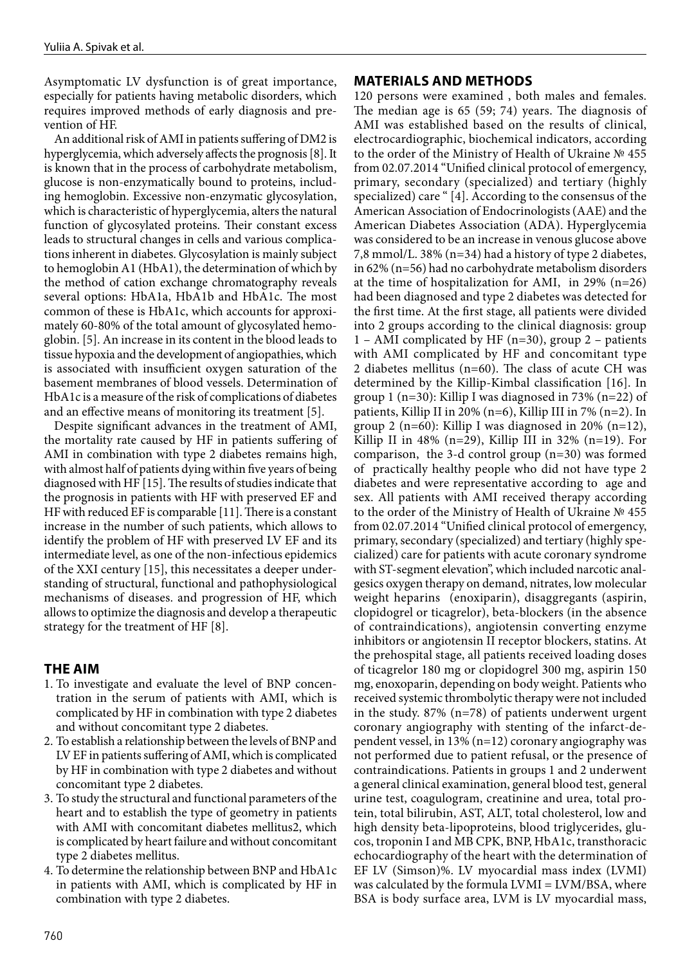Asymptomatic LV dysfunction is of great importance, especially for patients having metabolic disorders, which requires improved methods of early diagnosis and prevention of HF.

An additional risk of AMI in patients suffering of DM2 is hyperglycemia, which adversely affects the prognosis [8]. It is known that in the process of carbohydrate metabolism, glucose is non-enzymatically bound to proteins, including hemoglobin. Excessive non-enzymatic glycosylation, which is characteristic of hyperglycemia, alters the natural function of glycosylated proteins. Their constant excess leads to structural changes in cells and various complications inherent in diabetes. Glycosylation is mainly subject to hemoglobin A1 (HbA1), the determination of which by the method of cation exchange chromatography reveals several options: HbA1a, HbA1b and HbA1c. The most common of these is HbA1c, which accounts for approximately 60-80% of the total amount of glycosylated hemoglobin. [5]. An increase in its content in the blood leads to tissue hypoxia and the development of angiopathies, which is associated with insufficient oxygen saturation of the basement membranes of blood vessels. Determination of HbA1c is a measure of the risk of complications of diabetes and an effective means of monitoring its treatment [5].

Despite significant advances in the treatment of AMI, the mortality rate caused by HF in patients suffering of AMI in combination with type 2 diabetes remains high, with almost half of patients dying within five years of being diagnosed with HF [15]. The results of studies indicate that the prognosis in patients with HF with preserved EF and HF with reduced EF is comparable [11]. There is a constant increase in the number of such patients, which allows to identify the problem of HF with preserved LV EF and its intermediate level, as one of the non-infectious epidemics of the XXI century [15], this necessitates a deeper understanding of structural, functional and pathophysiological mechanisms of diseases. and progression of HF, which allows to optimize the diagnosis and develop a therapeutic strategy for the treatment of HF [8].

### **THE AIM**

- 1. To investigate and evaluate the level of BNP concentration in the serum of patients with AMI, which is complicated by HF in combination with type 2 diabetes and without concomitant type 2 diabetes.
- 2. To establish a relationship between the levels of BNP and LV EF in patients suffering of AMI, which is complicated by HF in combination with type 2 diabetes and without concomitant type 2 diabetes.
- 3. To study the structural and functional parameters of the heart and to establish the type of geometry in patients with AMI with concomitant diabetes mellitus2, which is complicated by heart failure and without concomitant type 2 diabetes mellitus.
- 4. To determine the relationship between BNP and HbA1c in patients with AMI, which is complicated by HF in combination with type 2 diabetes.

## **MATERIALS AND METHODS**

120 persons were examined , both males and females. The median age is 65 (59; 74) years. The diagnosis of AMI was established based on the results of clinical, electrocardiographic, biochemical indicators, according to the order of the Ministry of Health of Ukraine № 455 from 02.07.2014 "Unified clinical protocol of emergency, primary, secondary (specialized) and tertiary (highly specialized) care " [4]. According to the consensus of the American Association of Endocrinologists (AAE) and the American Diabetes Association (ADA). Hyperglycemia was considered to be an increase in venous glucose above 7,8 mmol/L. 38% (n=34) had a history of type 2 diabetes, in 62% (n=56) had no carbohydrate metabolism disorders at the time of hospitalization for AMI, in 29% (n=26) had been diagnosed and type 2 diabetes was detected for the first time. At the first stage, all patients were divided into 2 groups according to the clinical diagnosis: group 1 – AMI complicated by HF (n=30), group 2 – patients with AMI complicated by HF and concomitant type 2 diabetes mellitus (n=60). The class of acute CH was determined by the Killip-Kimbal classification [16]. In group 1 ( $n=30$ ): Killip I was diagnosed in 73% ( $n=22$ ) of patients, Killip II in 20% (n=6), Killip III in 7% (n=2). In group 2 (n=60): Killip I was diagnosed in 20% (n=12), Killip II in  $48\%$  (n=29), Killip III in  $32\%$  (n=19). For comparison, the 3-d control group (n=30) was formed of practically healthy people who did not have type 2 diabetes and were representative according to age and sex. All patients with AMI received therapy according to the order of the Ministry of Health of Ukraine № 455 from 02.07.2014 "Unified clinical protocol of emergency, primary, secondary (specialized) and tertiary (highly specialized) care for patients with acute coronary syndrome with ST-segment elevation", which included narcotic analgesics oxygen therapy on demand, nitrates, low molecular weight heparins (enoxiparin), disaggregants (aspirin, clopidogrel or ticagrelor), beta-blockers (in the absence of contraindications), angiotensin converting enzyme inhibitors or angiotensin II receptor blockers, statins. At the prehospital stage, all patients received loading doses of ticagrelor 180 mg or clopidogrel 300 mg, aspirin 150 mg, enoxoparin, depending on body weight. Patients who received systemic thrombolytic therapy were not included in the study. 87% (n=78) of patients underwent urgent coronary angiography with stenting of the infarct-dependent vessel, in 13% (n=12) coronary angiography was not performed due to patient refusal, or the presence of contraindications. Patients in groups 1 and 2 underwent a general clinical examination, general blood test, general urine test, coagulogram, creatinine and urea, total protein, total bilirubin, AST, ALT, total cholesterol, low and high density beta-lipoproteins, blood triglycerides, glucos, troponin I and MB CPK, BNP, HbA1c, transthoracic echocardiography of the heart with the determination of EF LV (Simson)%. LV myocardial mass index (LVMI) was calculated by the formula LVMI = LVM/BSA, where BSA is body surface area, LVM is LV myocardial mass,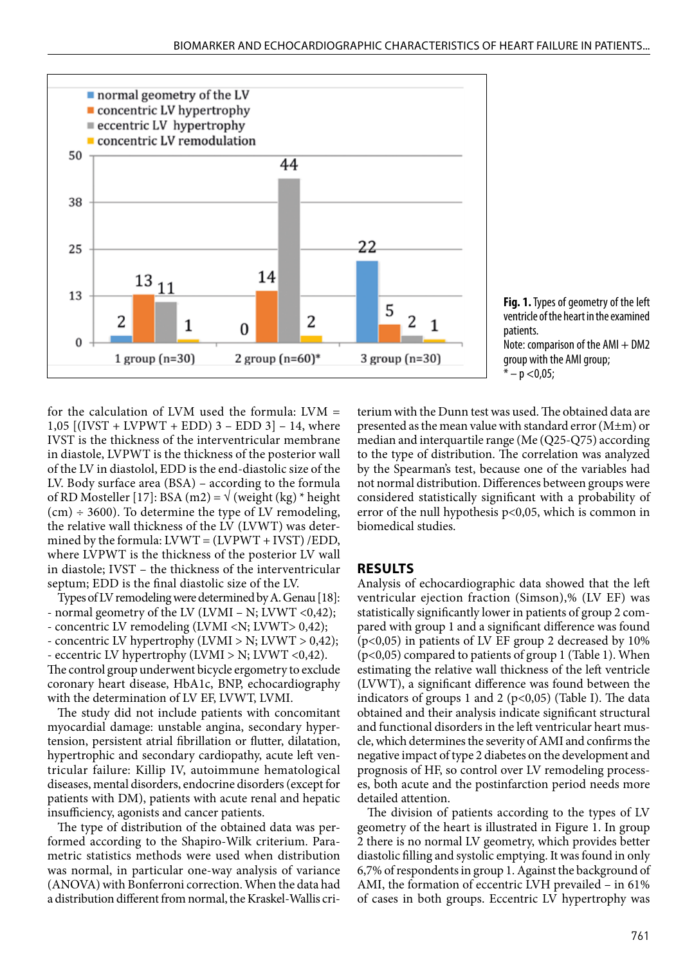

**Fig. 1.** Types of geometry of the left ventricle of the heart in the examined patients. Note: comparison of the  $AMI + DM2$ group with the AMI group;  $* - p < 0.05;$ 

for the calculation of LVM used the formula: LVM = 1,05  $[(IVST + LVPWT + EDD) 3 - EDD 3] - 14$ , where IVST is the thickness of the interventricular membrane in diastole, LVPWT is the thickness of the posterior wall of the LV in diastolol, EDD is the end-diastolic size of the LV. Body surface area (BSA) – according to the formula of RD Mosteller [17]: BSA (m2) =  $\sqrt{(weight (kg) * height)}$  $(cm) \div 3600)$ . To determine the type of LV remodeling, the relative wall thickness of the LV (LVWT) was determined by the formula:  $LVWT = (LVPWT + IVST)/EDD$ , where LVPWT is the thickness of the posterior LV wall in diastole; IVST – the thickness of the interventricular septum; EDD is the final diastolic size of the LV.

Types of LV remodeling were determined by A. Genau [18]: - normal geometry of the LV (LVMI – N; LVWT <0,42); - concentric LV remodeling (LVMI <N; LVWT> 0,42);

- concentric LV hypertrophy (LVMI > N; LVWT > 0,42);
- eccentric LV hypertrophy (LVMI > N; LVWT <0,42).

The control group underwent bicycle ergometry to exclude coronary heart disease, HbA1c, BNP, echocardiography with the determination of LV EF, LVWT, LVMI.

The study did not include patients with concomitant myocardial damage: unstable angina, secondary hypertension, persistent atrial fibrillation or flutter, dilatation, hypertrophic and secondary cardiopathy, acute left ventricular failure: Killip IV, autoimmune hematological diseases, mental disorders, endocrine disorders (except for patients with DM), patients with acute renal and hepatic insufficiency, agonists and cancer patients.

The type of distribution of the obtained data was performed according to the Shapiro-Wilk criterium. Parametric statistics methods were used when distribution was normal, in particular one-way analysis of variance (ANOVA) with Bonferroni correction. When the data had a distribution different from normal, the Kraskel-Wallis criterium with the Dunn test was used. The obtained data are presented as the mean value with standard error (M±m) or median and interquartile range (Me (Q25-Q75) according to the type of distribution. The correlation was analyzed by the Spearman's test, because one of the variables had not normal distribution. Differences between groups were considered statistically significant with a probability of error of the null hypothesis p<0,05, which is common in biomedical studies.

#### **RESULTS**

Analysis of echocardiographic data showed that the left ventricular ejection fraction (Simson),% (LV EF) was statistically significantly lower in patients of group 2 compared with group 1 and a significant difference was found (p<0,05) in patients of LV EF group 2 decreased by 10% (p<0,05) compared to patients of group 1 (Table 1). When estimating the relative wall thickness of the left ventricle (LVWT), a significant difference was found between the indicators of groups 1 and 2 ( $p<0,05$ ) (Table I). The data obtained and their analysis indicate significant structural and functional disorders in the left ventricular heart muscle, which determines the severity of AMI and confirms the negative impact of type 2 diabetes on the development and prognosis of HF, so control over LV remodeling processes, both acute and the postinfarction period needs more detailed attention.

The division of patients according to the types of LV geometry of the heart is illustrated in Figure 1. In group 2 there is no normal LV geometry, which provides better diastolic filling and systolic emptying. It was found in only 6,7% of respondents in group 1. Against the background of AMI, the formation of eccentric LVH prevailed – in 61% of cases in both groups. Eccentric LV hypertrophy was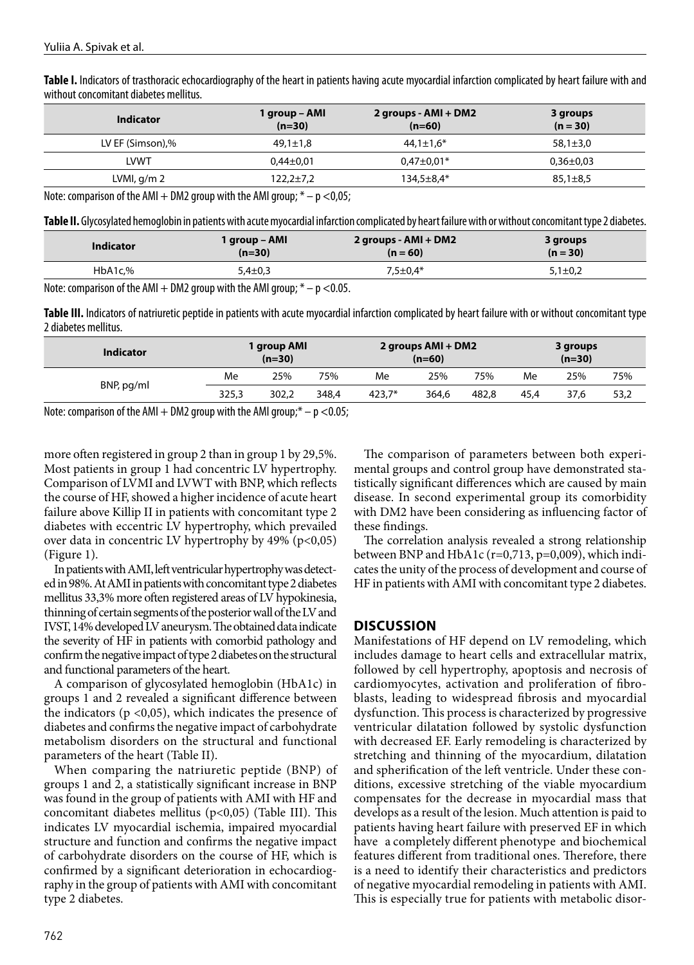**Table І.** Indicators of trasthoracic echocardiography of the heart in patients having acute myocardial infarction complicated by heart failure with and without concomitant diabetes mellitus.

| <b>Indicator</b> | 1 group – AMI<br>$(n=30)$ | 2 groups - $AMI + DM2$<br>$(n=60)$ | 3 groups<br>$(n = 30)$ |  |  |
|------------------|---------------------------|------------------------------------|------------------------|--|--|
| LV EF (Simson),% | 49,1±1,8                  | $44.1 \pm 1.6^*$                   | $58,1 \pm 3,0$         |  |  |
| <b>LVWT</b>      | $0.44 \pm 0.01$           | $0.47 \pm 0.01*$                   | $0.36 \pm 0.03$        |  |  |
| LVMI, $q/m2$     | $122.2 \pm 7.2$           | $134.5 \pm 8.4*$                   | $85,1\pm8,5$           |  |  |

Note: comparison of the AMI  $+$  DM2 group with the AMI group;  $*$   $-$  p  $<$  0,05;

**Table II.** Glycosylated hemoglobin in patients with acute myocardial infarction complicated by heart failure with or without concomitant type 2 diabetes.

| <b>Indicator</b> | 1 group – AMI | 2 groups - AMI + DM2 | 3 groups    |  |
|------------------|---------------|----------------------|-------------|--|
|                  | $(n=30)$      | $(n = 60)$           | $(n = 30)$  |  |
| HbA1c.%          | $5,4\pm0,3$   | $7,5 \pm 0.4*$       | $5,1\pm0,2$ |  |

Note: comparison of the AMI  $+$  DM2 group with the AMI group;  $*$   $-$  p  $<$  0.05.

Table III. Indicators of natriuretic peptide in patients with acute myocardial infarction complicated by heart failure with or without concomitant type 2 diabetes mellitus.

| <b>Indicator</b> | l group AMI<br>$(n=30)$ |       |       | 2 groups AMI + DM2<br>$(n=60)$ |       |       | 3 groups<br>$(n=30)$ |      |      |
|------------------|-------------------------|-------|-------|--------------------------------|-------|-------|----------------------|------|------|
| BNP, pg/ml       | Me                      | 25%   | 75%   | Me                             | 25%   | 75%   | Me                   | 25%  | 75%  |
|                  | 325,3                   | 302.2 | 348.4 | $423.7*$                       | 364.6 | 482.8 | 45.4                 | 37.6 | 53,2 |

Note: comparison of the AMI  $+$  DM2 group with the AMI group; $*$   $-$  p  $<$  0.05;

more often registered in group 2 than in group 1 by 29,5%. Most patients in group 1 had concentric LV hypertrophy. Comparison of LVMI and LVWT with BNP, which reflects the course of HF, showed a higher incidence of acute heart failure above Killip II in patients with concomitant type 2 diabetes with eccentric LV hypertrophy, which prevailed over data in concentric LV hypertrophy by  $49\%$  (p<0,05) (Figure 1).

In patients with AMI, left ventricular hypertrophy was detected in 98%. At AMI in patients with concomitant type 2 diabetes mellitus 33,3% more often registered areas of LV hypokinesia, thinning of certain segments of the posterior wall of the LV and IVST, 14% developed LV aneurysm. The obtained data indicate the severity of HF in patients with comorbid pathology and confirm the negative impact of type 2 diabetes on the structural and functional parameters of the heart.

A comparison of glycosylated hemoglobin (HbA1c) in groups 1 and 2 revealed a significant difference between the indicators ( $p \le 0.05$ ), which indicates the presence of diabetes and confirms the negative impact of carbohydrate metabolism disorders on the structural and functional parameters of the heart (Table II).

When comparing the natriuretic peptide (BNP) of groups 1 and 2, a statistically significant increase in BNP was found in the group of patients with AMI with HF and concomitant diabetes mellitus ( $p<0,05$ ) (Table III). This indicates LV myocardial ischemia, impaired myocardial structure and function and confirms the negative impact of carbohydrate disorders on the course of HF, which is confirmed by a significant deterioration in echocardiography in the group of patients with AMI with concomitant type 2 diabetes.

The comparison of parameters between both experimental groups and control group have demonstrated statistically significant differences which are caused by main disease. In second experimental group its comorbidity with DM2 have been considering as influencing factor of these findings.

The correlation analysis revealed a strong relationship between BNP and HbA1c (r=0,713, p=0,009), which indicates the unity of the process of development and course of HF in patients with AMI with concomitant type 2 diabetes.

### **DISCUSSION**

Manifestations of HF depend on LV remodeling, which includes damage to heart cells and extracellular matrix, followed by cell hypertrophy, apoptosis and necrosis of cardiomyocytes, activation and proliferation of fibroblasts, leading to widespread fibrosis and myocardial dysfunction. This process is characterized by progressive ventricular dilatation followed by systolic dysfunction with decreased EF. Early remodeling is characterized by stretching and thinning of the myocardium, dilatation and spherification of the left ventricle. Under these conditions, excessive stretching of the viable myocardium compensates for the decrease in myocardial mass that develops as a result of the lesion. Much attention is paid to patients having heart failure with preserved EF in which have a completely different phenotype and biochemical features different from traditional ones. Therefore, there is a need to identify their characteristics and predictors of negative myocardial remodeling in patients with AMI. This is especially true for patients with metabolic disor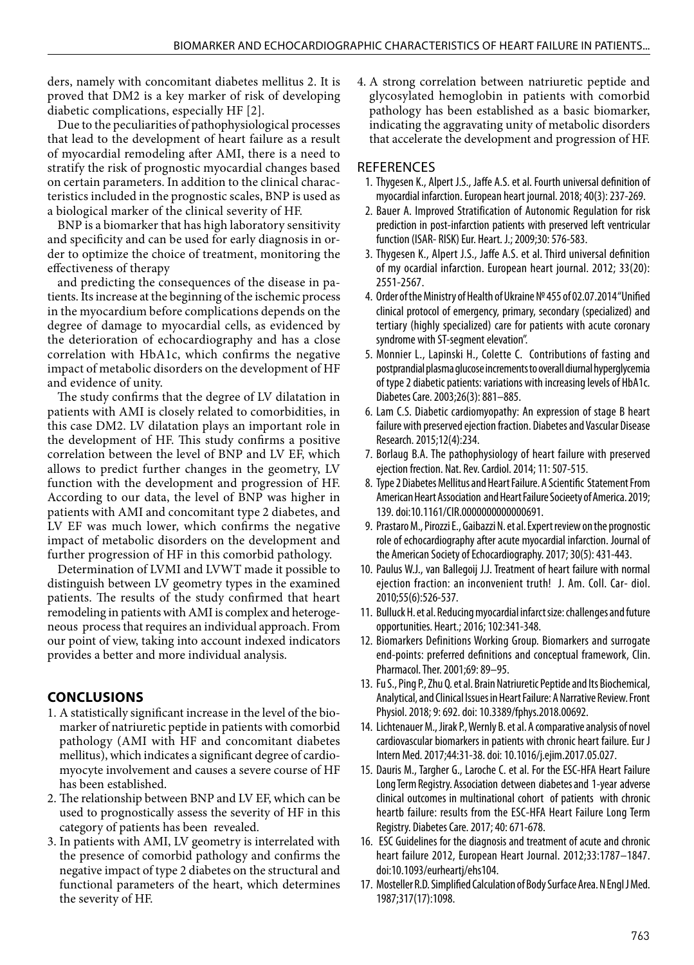ders, namely with concomitant diabetes mellitus 2. It is proved that DM2 is a key marker of risk of developing diabetic complications, especially HF [2].

Due to the peculiarities of pathophysiological processes that lead to the development of heart failure as a result of myocardial remodeling after AMI, there is a need to stratify the risk of prognostic myocardial changes based on certain parameters. In addition to the clinical characteristics included in the prognostic scales, BNP is used as a biological marker of the clinical severity of HF.

BNP is a biomarker that has high laboratory sensitivity and specificity and can be used for early diagnosis in order to optimize the choice of treatment, monitoring the effectiveness of therapy

and predicting the consequences of the disease in patients. Its increase at the beginning of the ischemic process in the myocardium before complications depends on the degree of damage to myocardial cells, as evidenced by the deterioration of echocardiography and has a close correlation with HbA1c, which confirms the negative impact of metabolic disorders on the development of HF and evidence of unity.

The study confirms that the degree of LV dilatation in patients with AMI is closely related to comorbidities, in this case DM2. LV dilatation plays an important role in the development of HF. This study confirms a positive correlation between the level of BNP and LV EF, which allows to predict further changes in the geometry, LV function with the development and progression of HF. According to our data, the level of BNP was higher in patients with AMI and concomitant type 2 diabetes, and LV EF was much lower, which confirms the negative impact of metabolic disorders on the development and further progression of HF in this comorbid pathology.

Determination of LVMI and LVWT made it possible to distinguish between LV geometry types in the examined patients. The results of the study confirmed that heart remodeling in patients with AMI is complex and heterogeneous process that requires an individual approach. From our point of view, taking into account indexed indicators provides a better and more individual analysis.

# **CONCLUSIONS**

- 1. A statistically significant increase in the level of the biomarker of natriuretic peptide in patients with comorbid pathology (AMI with HF and concomitant diabetes mellitus), which indicates a significant degree of cardiomyocyte involvement and causes a severe course of HF has been established.
- 2. The relationship between BNP and LV EF, which can be used to prognostically assess the severity of HF in this category of patients has been revealed.
- 3. In patients with AMI, LV geometry is interrelated with the presence of comorbid pathology and confirms the negative impact of type 2 diabetes on the structural and functional parameters of the heart, which determines the severity of HF.

4. A strong correlation between natriuretic peptide and glycosylated hemoglobin in patients with comorbid pathology has been established as a basic biomarker, indicating the aggravating unity of metabolic disorders that accelerate the development and progression of HF.

# **REFERENCES**

- 1. Thygesen K., Alpert J.S., Jaffe A.S. et al. Fourth universal definition of myocardial infarction. European heart journal. 2018; 40(3): 237-269.
- 2. Bauer A. Improved Stratification of Autonomic Regulation for risk prediction in post-infarction patients with preserved left ventricular function (ISAR- RISK) Eur. Heart. J.; 2009;30: 576-583.
- 3. Thygesen K., Alpert J.S., Jaffe A.S. et al. Third universal definition of my ocardial infarction. European heart journal. 2012; 33(20): 2551-2567.
- 4. Order of the Ministry of Health of Ukraine № 455 of 02.07.2014 "Unified clinical protocol of emergency, primary, secondary (specialized) and tertiary (highly specialized) care for patients with acute coronary syndrome with ST-segment elevation".
- 5. Monnier L., Lapinski H., Colette C. Contributions of fasting and postprandial plasma glucose increments to overall diurnal hyperglycemia of type 2 diabetic patients: variations with increasing levels of HbA1c. Diabetes Care. 2003;26(3): 881–885.
- 6. Lam C.S. Diabetic cardiomyopathy: An expression of stage B heart failure with preserved ejection fraction. Diabetes and Vascular Disease Research. 2015;12(4):234.
- 7. Borlaug B.A. The pathophysiology of heart failure with preserved ejection frection. Nat. Rev. Cardiol. 2014; 11: 507-515.
- 8. Type 2 Diabetes Mellitus and Heart Failure. A Scientific Statement From American Heart Association and Heart Failure Socieety of America. 2019; 139. doi:10.1161/CIR.0000000000000691.
- 9. Prastaro M., Pirozzi E., Gaibazzi N. et al. Expert review on the prognostic role of echocardiography after acute myocardial infarction. Journal of the American Society of Echocardiography. 2017; 30(5): 431-443.
- 10. Paulus W.J., van Ballegoij J.J. Treatment of heart failure with normal ejection fraction: an inconvenient truth! J. Am. Coll. Car- diol. 2010;55(6):526-537.
- 11. Bulluck H. et al. Reducing myocardial infarct size: challenges and future opportunities. Heart.; 2016; 102:341-348.
- 12. Biomarkers Definitions Working Group. Biomarkers and surrogate end-points: preferred definitions and conceptual framework, Clin. Pharmacol. Ther. 2001;69: 89–95.
- 13. Fu S., Ping P., Zhu Q. et al. Brain Natriuretic Peptide and Its Biochemical, Analytical, and Clinical Issues in Heart Failure: A Narrative Review. Front Physiol. 2018; 9: 692. doi: 10.3389/fphys.2018.00692.
- 14. Lichtenauer M., Jirak P., Wernly B. et al. A comparative analysis of novel cardiovascular biomarkers in patients with chronic heart failure. Eur J Intern Med. 2017;44:31-38. doi: 10.1016/j.ejim.2017.05.027.
- 15. Dauris M., Targher G., Laroche C. et al. For the ESC-HFA Heart Failure Long Term Registry. Association detween diabetes and 1-year adverse clinical outcomes in multinational cohort of patients with chronic heartb failure: results from the ESC-HFA Heart Failure Long Term Registry. Diabetes Care. 2017; 40: 671-678.
- 16. ESC Guidelines for the diagnosis and treatment of acute and chronic heart failure 2012, European Heart Journal. 2012;33:1787–1847. doi:10.1093/eurheartj/ehs104.
- 17. Mosteller R.D. Simplified Calculation of Body Surface Area. N Engl J Med. 1987;317(17):1098.